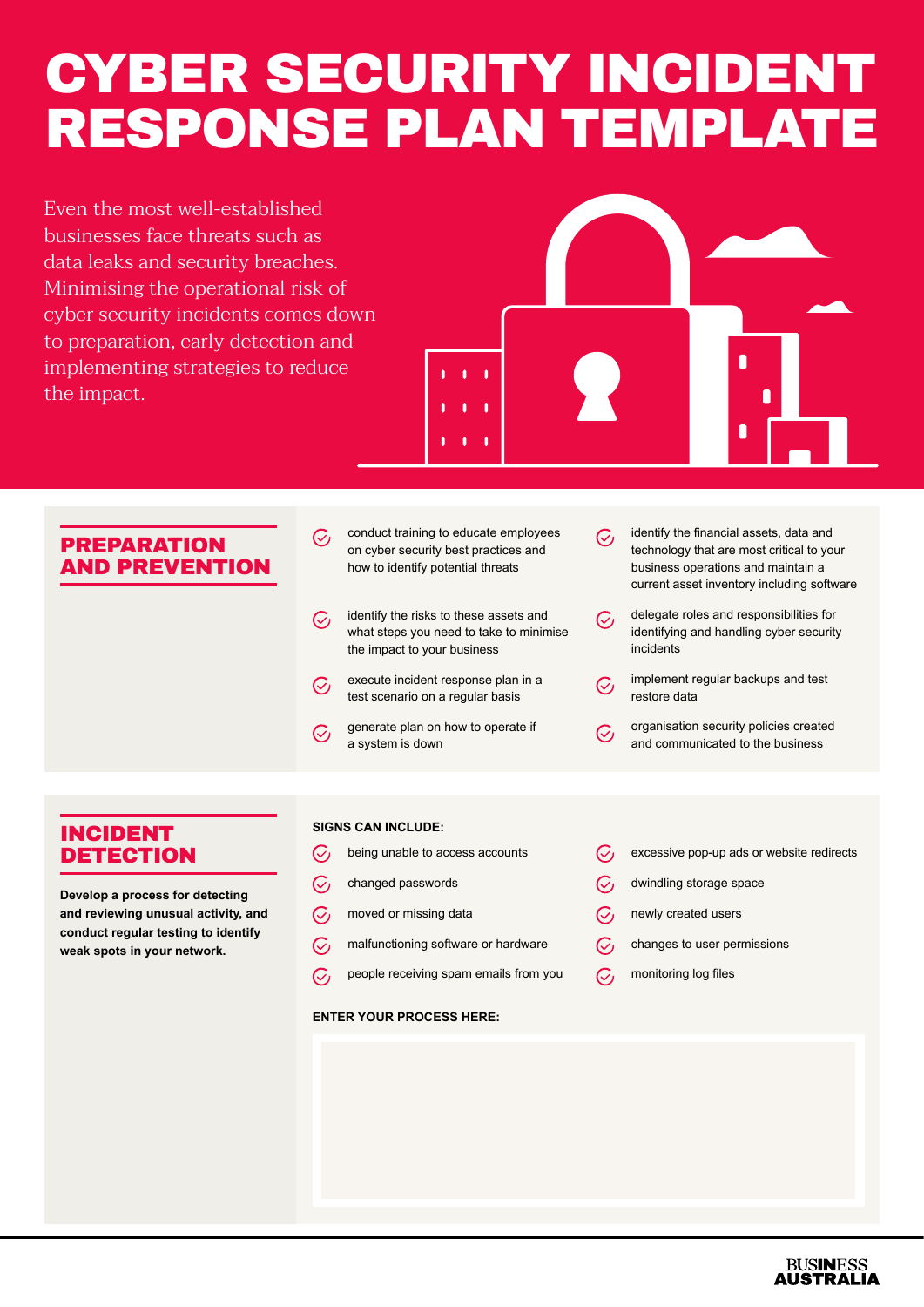# CYBER SECURITY INCIDENT RESPONSE PLAN TEMPLATE

Even the most well-established businesses face threats such as data leaks and security breaches. Minimising the operational risk of cyber security incidents comes down to preparation, early detection and implementing strategies to reduce the impact.



## PREPARATION AND PREVENTION

- conduct training to educate employees  $\mathcal{C}_{I}$ on cyber security best practices and how to identify potential threats
- identify the risks to these assets and  $\mathcal{C}_{I}$ what steps you need to take to minimise the impact to your business
- execute incident response plan in a  $\mathcal{C}_I$ test scenario on a regular basis
- generate plan on how to operate if  $\mathcal{C}_I$ a system is down
- identify the financial assets, data and  $C_{L}$ technology that are most critical to your business operations and maintain a current asset inventory including software
- delegate roles and responsibilities for  $\mathcal{C}_I$ identifying and handling cyber security incidents
	- implement regular backups and test restore data
	- organisation security policies created and communicated to the business

## INCIDENT **DETECTION**

**Develop a process for detecting and reviewing unusual activity, and conduct regular testing to identify weak spots in your network.**

#### **SIGNS CAN INCLUDE:**

- $\mathcal{C}_I$ being unable to access accounts
- $\mathcal{C}_I$ changed passwords
- $\mathcal{C}_I$ moved or missing data
- $\mathcal{C}_I$ malfunctioning software or hardware
- $\overline{C}$ people receiving spam emails from you

#### **ENTER YOUR PROCESS HERE:**

- $\mathcal{C}_I$ excessive pop-up ads or website redirects
- $\mathcal{C}_I$ dwindling storage space
- $C_1$ newly created users
- changes to user permissions  $C_{1}$
- $\overline{C}$ monitoring log files